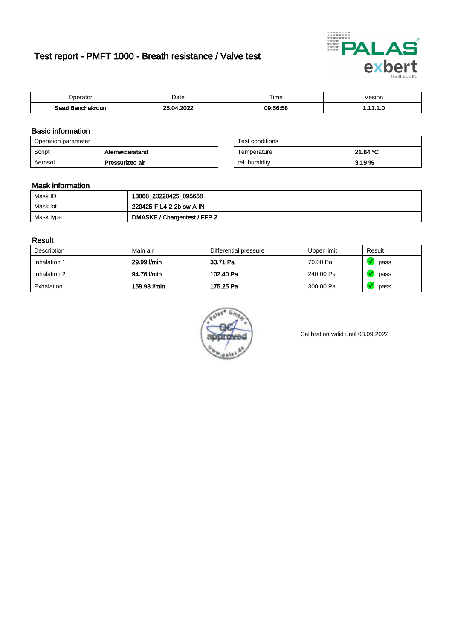# Test report - PMFT 1000 - Breath resistance / Valve test



| <b>'</b> perator               | Date           | $- \cdot$<br><b>Time</b> | /esion |
|--------------------------------|----------------|--------------------------|--------|
| Saad<br><b>chakroun</b><br>. . | 0000<br>״<br>. | 00.50.50                 | .      |

### Basic information

| Operation parameter |                 | Test conditions |          |
|---------------------|-----------------|-----------------|----------|
| Script              | Atemwiderstand  | Temperature     | 21.64 °C |
| Aerosol             | Pressurized air | rel. humidity   | 3.19 %   |

| Test conditions |          |
|-----------------|----------|
| Temperature     | 21.64 °C |
| rel. humidity   | 3.19 %   |

#### Mask information

| Mask ID   | 13868_20220425_095658        |
|-----------|------------------------------|
| Mask lot  | 220425-F-L4-2-2b-sw-A-IN     |
| Mask type | DMASKE / Chargentest / FFP 2 |

### Result

| Description  | Main air     | Differential pressure | Upper limit | Result |
|--------------|--------------|-----------------------|-------------|--------|
| Inhalation 1 | 29.99 l/min  | 33.71 Pa              | 70.00 Pa    | pass   |
| Inhalation 2 | 94.76 l/min  | 102.40 Pa             | 240.00 Pa   | pass   |
| Exhalation   | 159.98 l/min | 175.25 Pa             | 300.00 Pa   | pass   |



Calibration valid until 03.09.2022